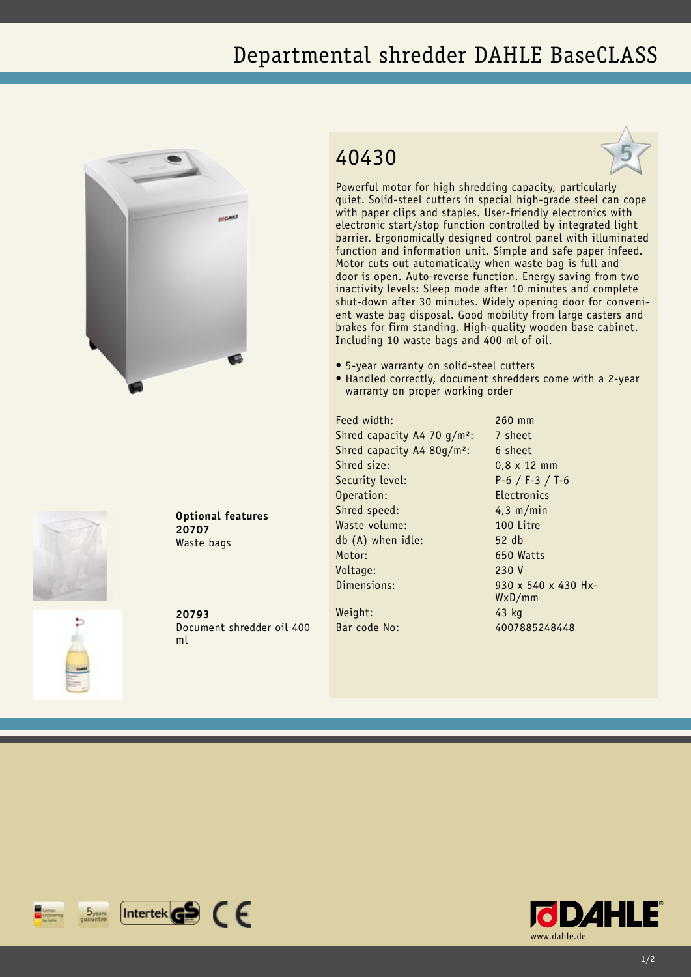## Departmental shredder DAHLE BaseCLASS





**Optional features 20707** Waste bags

**20793** Document shredder oil 400 ml

## 40430



Powerful motor for high shredding capacity, particularly quiet. Solid-steel cutters in special high-grade steel can cope with paper clips and staples. User-friendly electronics with electronic start/stop function controlled by integrated light barrier. Ergonomically designed control panel with illuminated function and information unit. Simple and safe paper infeed. Motor cuts out automatically when waste bag is full and door is open. Auto-reverse function. Energy saving from two inactivity levels: Sleep mode after 10 minutes and complete shut-down after 30 minutes. Widely opening door for convenient waste bag disposal. Good mobility from large casters and brakes for firm standing. High-quality wooden base cabinet. Including 10 waste bags and 400 ml of oil.

- • 5-year warranty on solid-steel cutters
- Handled correctly, document shredders come with a 2-year warranty on proper working order

Feed width: 260 mm Shred capacity A4 70  $q/m^2$ : 7 sheet Shred capacity A4 80g/m<sup>2</sup>: 6 sheet Shred size: 0.8 x 12 mm Security level: P-6 / F-3 / T-6 Operation: Electronics Shred speed: 4,3 m/min Waste volume: 100 Litre db (A) when idle: 52 db Motor: 650 Watts Voltage: 230 V Dimensions: 930 x 540 x 430 Hx-

Weight: 43 kg

WxD/mm Bar code No: 4007885248448